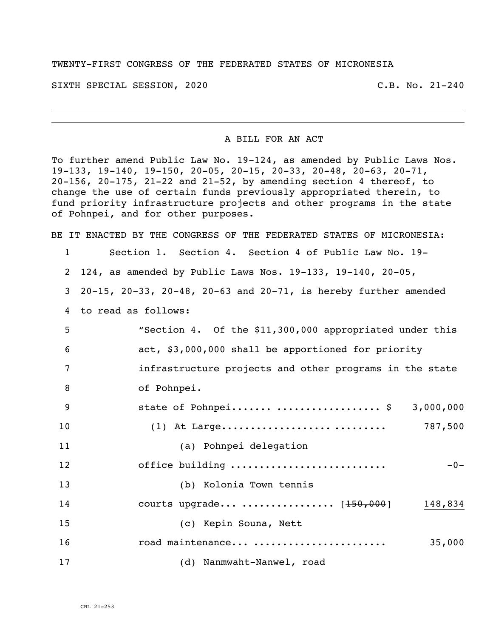## TWENTY-FIRST CONGRESS OF THE FEDERATED STATES OF MICRONESIA

SIXTH SPECIAL SESSION, 2020 C.B. No. 21-240

## A BILL FOR AN ACT

To further amend Public Law No. 19-124, as amended by Public Laws Nos. 19-133, 19-140, 19-150, 20-05, 20-15, 20-33, 20-48, 20-63, 20-71, 20-156, 20-175, 21-22 and 21-52, by amending section 4 thereof, to change the use of certain funds previously appropriated therein, to fund priority infrastructure projects and other programs in the state of Pohnpei, and for other purposes.

BE IT ENACTED BY THE CONGRESS OF THE FEDERATED STATES OF MICRONESIA:

Section 1. Section 4. Section 4 of Public Law No. 19-

- 124, as amended by Public Laws Nos. 19-133, 19-140, 20-05,
- 20-15, 20-33, 20-48, 20-63 and 20-71, is hereby further amended
- to read as follows:

| 5              | "Section 4. Of the \$11,300,000 appropriated under this |
|----------------|---------------------------------------------------------|
| 6              | act, \$3,000,000 shall be apportioned for priority      |
| $\overline{7}$ | infrastructure projects and other programs in the state |
| 8              | of Pohnpei.                                             |
| 9              | state of Pohnpei  \$ 3,000,000                          |
| 10             | 787,500                                                 |
| 11             | (a) Pohnpei delegation                                  |
| 12             | office building<br>$-0-$                                |
| 13             | (b) Kolonia Town tennis                                 |
| 14             | courts upgrade  [150,000] 148,834                       |
| 15             | (c) Kepin Souna, Nett                                   |
| 16             | road maintenance<br>35,000                              |
| 17             | (d) Nanmwaht-Nanwel, road                               |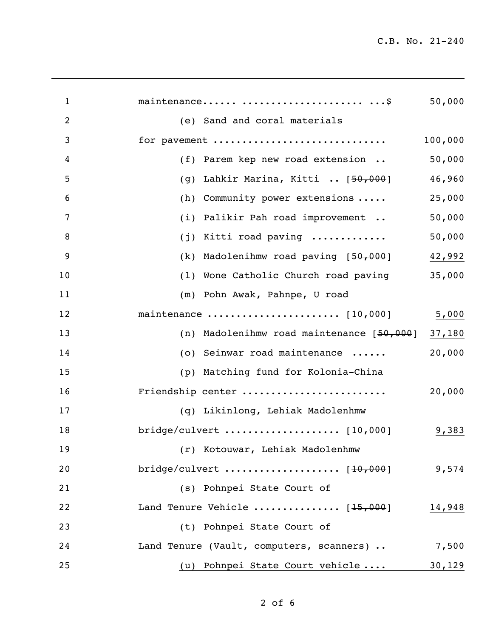C.B. No. 21-240

| $\mathbf{1}$   | maintenance \$                              | 50,000  |
|----------------|---------------------------------------------|---------|
| $\overline{2}$ | (e) Sand and coral materials                |         |
| 3              | for pavement                                | 100,000 |
| 4              | (f) Parem kep new road extension            | 50,000  |
| 5              | Lahkir Marina, Kitti  [50,000]<br>(g)       | 46,960  |
| 6              | Community power extensions<br>(h)           | 25,000  |
| 7              | Palikir Pah road improvement<br>(i)         | 50,000  |
| 8              | Kitti road paving<br>(j)                    | 50,000  |
| 9              | (k) Madolenihmw road paving $[50,000]$      | 42,992  |
| 10             | (1) Wone Catholic Church road paving        | 35,000  |
| 11             | (m) Pohn Awak, Pahnpe, U road               |         |
| 12             |                                             | 5,000   |
| 13             | (n) Madolenihmw road maintenance $[50,000]$ | 37,180  |
| 14             | (o) Seinwar road maintenance                | 20,000  |
| 15             | (p) Matching fund for Kolonia-China         |         |
| 16             | Friendship center                           | 20,000  |
| 17             | (q) Likinlong, Lehiak Madolenhmw            |         |
| 18             |                                             | 9,383   |
| 19             | (r) Kotouwar, Lehiak Madolenhmw             |         |
| 20             |                                             | 9,574   |
| 21             | (s) Pohnpei State Court of                  |         |
| 22             | Land Tenure Vehicle $[15,000]$              | 14,948  |
| 23             | (t) Pohnpei State Court of                  |         |
| 24             | Land Tenure (Vault, computers, scanners)    | 7,500   |
| 25             | (u) Pohnpei State Court vehicle             | 30,129  |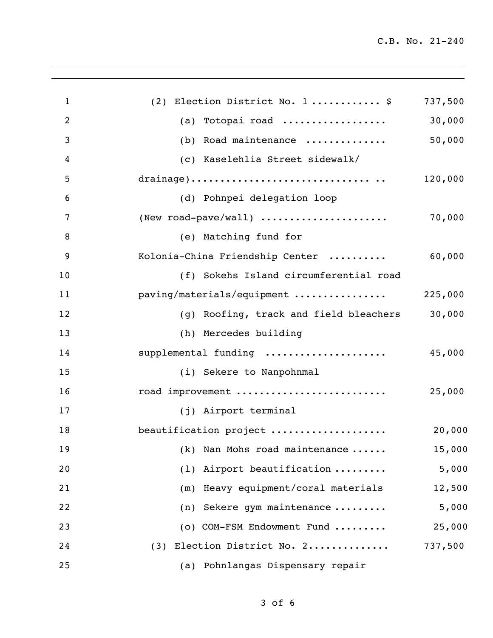C.B. No. 21-240

| $\mathbf{1}$   | (2) Election District No. 1 \$                | 737,500 |
|----------------|-----------------------------------------------|---------|
| $\overline{2}$ | (a) Totopai road                              | 30,000  |
| 3              | (b) Road maintenance                          | 50,000  |
| 4              | (c) Kaselehlia Street sidewalk/               |         |
| 5              |                                               | 120,000 |
| 6              | (d) Pohnpei delegation loop                   |         |
| 7              | (New road-pave/wall) $\ldots$                 | 70,000  |
| 8              | (e) Matching fund for                         |         |
| 9              | Kolonia-China Friendship Center               | 60,000  |
| 10             | (f) Sokehs Island circumferential road        |         |
| 11             | paving/materials/equipment                    | 225,000 |
| 12             | (g) Roofing, track and field bleachers 30,000 |         |
| 13             | (h) Mercedes building                         |         |
| 14             | supplemental funding                          | 45,000  |
| 15             | (i) Sekere to Nanpohnmal                      |         |
| 16             | road improvement                              | 25,000  |
| 17             | (j) Airport terminal                          |         |
| 18             | beautification project                        | 20,000  |
| 19             | (k) Nan Mohs road maintenance                 | 15,000  |
| 20             | (1) Airport beautification                    | 5,000   |
| 21             | (m) Heavy equipment/coral materials           | 12,500  |
| 22             | (n) Sekere gym maintenance                    | 5,000   |
| 23             | (o) COM-FSM Endowment Fund                    | 25,000  |
| 24             | (3) Election District No. 2                   | 737,500 |
| 25             | (a) Pohnlangas Dispensary repair              |         |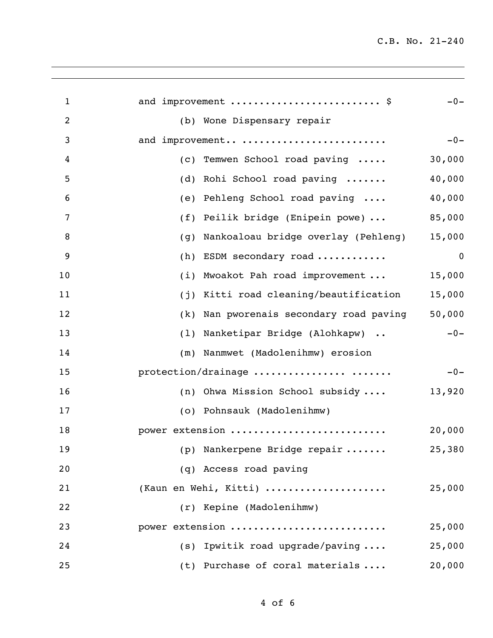C.B. No. 21-240

| $\mathbf{1}$ | and improvement  \$                        | $-0-$       |
|--------------|--------------------------------------------|-------------|
| 2            | (b) Wone Dispensary repair                 |             |
| 3            | and improvement                            | $-0-$       |
| 4            | Temwen School road paving<br>(C)           | 30,000      |
| 5            | Rohi School road paving<br>(d)             | 40,000      |
| 6            | Pehleng School road paving<br>(e)          | 40,000      |
| 7            | Peilik bridge (Enipein powe)<br>(f)        | 85,000      |
| 8            | Nankoaloau bridge overlay (Pehleng)<br>(g) | 15,000      |
| 9            | (h)<br>ESDM secondary road                 | $\mathbf 0$ |
| 10           | Mwoakot Pah road improvement<br>(i)        | 15,000      |
| 11           | Kitti road cleaning/beautification<br>(j)  | 15,000      |
| 12           | Nan pworenais secondary road paving<br>(k) | 50,000      |
| 13           | (1) Nanketipar Bridge (Alohkapw)           | $-0-$       |
| 14           | (m) Nanmwet (Madolenihmw) erosion          |             |
| 15           | protection/drainage                        | $-0-$       |
| 16           | (n) Ohwa Mission School subsidy            | 13,920      |
| 17           | (o) Pohnsauk (Madolenihmw)                 |             |
| 18           | power extension                            | 20,000      |
| 19           | (p) Nankerpene Bridge repair               | 25,380      |
| 20           | (q) Access road paving                     |             |
| 21           | (Kaun en Wehi, Kitti)                      | 25,000      |
| 22           | (r) Kepine (Madolenihmw)                   |             |
| 23           | power extension                            | 25,000      |
| 24           | (s) Ipwitik road upgrade/paving            | 25,000      |
| 25           | (t) Purchase of coral materials            | 20,000      |
|              |                                            |             |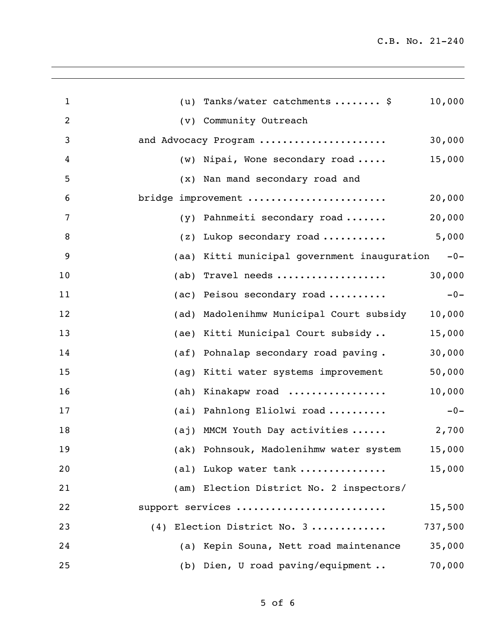| $\mathbf{1}$   | Tanks/water catchments  \$<br>10,000<br>(u)                    |
|----------------|----------------------------------------------------------------|
| $\overline{2}$ | (v) Community Outreach                                         |
| 3              | 30,000<br>and Advocacy Program                                 |
| 4              | 15,000<br>Nipai, Wone secondary road<br>(w)                    |
| 5              | (x) Nan mand secondary road and                                |
| 6              | bridge improvement<br>20,000                                   |
| 7              | 20,000<br>Pahnmeiti secondary road<br>(y)                      |
| 8              | 5,000<br>Lukop secondary road<br>(z)                           |
| 9              | Kitti municipal government inauguration<br>$-0-$<br>(aa)       |
| 10             | 30,000<br>Travel needs<br>(ab)                                 |
| 11             | Peisou secondary road<br>$-0-$<br>(ac)                         |
| 12             | Madolenihmw Municipal Court subsidy<br>10,000<br>(ad)          |
| 13             | 15,000<br>Kitti Municipal Court subsidy<br>(ae)                |
| 14             | 30,000<br>Pohnalap secondary road paving.<br>(a <sup>f</sup> ) |
| 15             | 50,000<br>Kitti water systems improvement<br>(ag)              |
| 16             | 10,000<br>Kinakapw road<br>(ah)                                |
| 17             | (ai) Pahnlong Eliolwi road<br>$-0-$                            |
| 18             | (aj) MMCM Youth Day activities<br>2,700                        |
| 19             | (ak) Pohnsouk, Madolenihmw water system 15,000                 |
| 20             | 15,000<br>(al) Lukop water tank                                |
| 21             | (am) Election District No. 2 inspectors/                       |
| 22             | support services<br>15,500                                     |
| 23             | (4) Election District No. 3<br>737,500                         |
| 24             | 35,000<br>(a) Kepin Souna, Nett road maintenance               |
| 25             | 70,000<br>(b) Dien, U road paving/equipment                    |